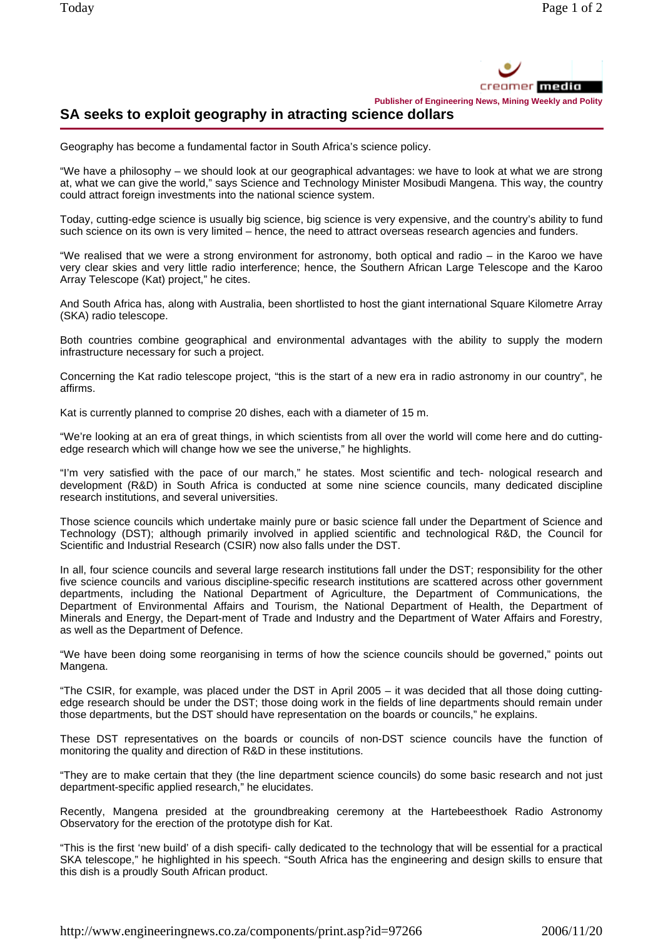

**Publisher of Engineering News, Mining Weekly and Polity**

## **SA seeks to exploit geography in atracting science dollars**

Geography has become a fundamental factor in South Africa's science policy.

"We have a philosophy – we should look at our geographical advantages: we have to look at what we are strong at, what we can give the world," says Science and Technology Minister Mosibudi Mangena. This way, the country could attract foreign investments into the national science system.

Today, cutting-edge science is usually big science, big science is very expensive, and the country's ability to fund such science on its own is very limited – hence, the need to attract overseas research agencies and funders.

"We realised that we were a strong environment for astronomy, both optical and radio – in the Karoo we have very clear skies and very little radio interference; hence, the Southern African Large Telescope and the Karoo Array Telescope (Kat) project," he cites.

And South Africa has, along with Australia, been shortlisted to host the giant international Square Kilometre Array (SKA) radio telescope.

Both countries combine geographical and environmental advantages with the ability to supply the modern infrastructure necessary for such a project.

Concerning the Kat radio telescope project, "this is the start of a new era in radio astronomy in our country", he affirms.

Kat is currently planned to comprise 20 dishes, each with a diameter of 15 m.

"We're looking at an era of great things, in which scientists from all over the world will come here and do cuttingedge research which will change how we see the universe," he highlights.

"I'm very satisfied with the pace of our march," he states. Most scientific and tech- nological research and development (R&D) in South Africa is conducted at some nine science councils, many dedicated discipline research institutions, and several universities.

Those science councils which undertake mainly pure or basic science fall under the Department of Science and Technology (DST); although primarily involved in applied scientific and technological R&D, the Council for Scientific and Industrial Research (CSIR) now also falls under the DST.

In all, four science councils and several large research institutions fall under the DST; responsibility for the other five science councils and various discipline-specific research institutions are scattered across other government departments, including the National Department of Agriculture, the Department of Communications, the Department of Environmental Affairs and Tourism, the National Department of Health, the Department of Minerals and Energy, the Depart-ment of Trade and Industry and the Department of Water Affairs and Forestry, as well as the Department of Defence.

"We have been doing some reorganising in terms of how the science councils should be governed," points out Mangena.

"The CSIR, for example, was placed under the DST in April 2005 – it was decided that all those doing cuttingedge research should be under the DST; those doing work in the fields of line departments should remain under those departments, but the DST should have representation on the boards or councils," he explains.

These DST representatives on the boards or councils of non-DST science councils have the function of monitoring the quality and direction of R&D in these institutions.

"They are to make certain that they (the line department science councils) do some basic research and not just department-specific applied research," he elucidates.

Recently, Mangena presided at the groundbreaking ceremony at the Hartebeesthoek Radio Astronomy Observatory for the erection of the prototype dish for Kat.

"This is the first 'new build' of a dish specifi- cally dedicated to the technology that will be essential for a practical SKA telescope," he highlighted in his speech. "South Africa has the engineering and design skills to ensure that this dish is a proudly South African product.